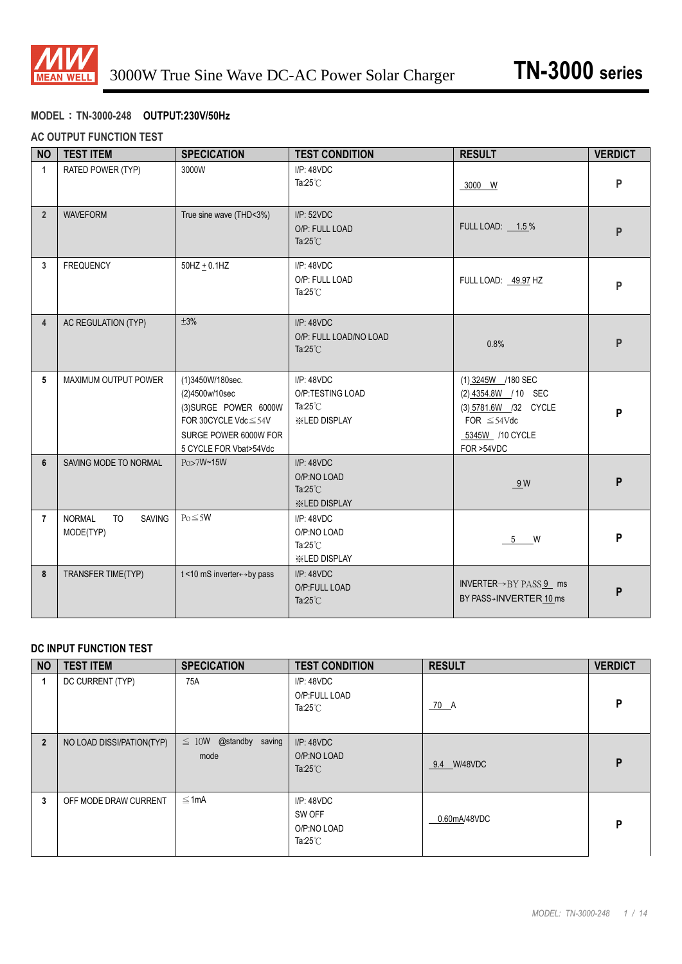

### **MODEL**:**TN-3000-248 OUTPUT:230V/50Hz**

#### **AC OUTPUT FUNCTION TEST**

| <b>NO</b>      | <b>TEST ITEM</b>                                         | <b>SPECICATION</b>                                                                                                                          | <b>TEST CONDITION</b>                                                          | <b>RESULT</b>                                                                                                                    | <b>VERDICT</b> |
|----------------|----------------------------------------------------------|---------------------------------------------------------------------------------------------------------------------------------------------|--------------------------------------------------------------------------------|----------------------------------------------------------------------------------------------------------------------------------|----------------|
| $\mathbf{1}$   | RATED POWER (TYP)                                        | 3000W                                                                                                                                       | $I/P$ : 48VDC<br>Ta: $25^{\circ}$ C                                            | 3000 W                                                                                                                           | P              |
| $\overline{2}$ | <b>WAVEFORM</b>                                          | True sine wave (THD<3%)                                                                                                                     | I/P: 52VDC<br>O/P: FULL LOAD<br>Ta: $25^{\circ}$ C                             | FULL LOAD: 1.5%                                                                                                                  | P              |
| $\mathbf{3}$   | <b>FREQUENCY</b>                                         | $50$ HZ $+$ 0.1HZ                                                                                                                           | $I/P$ : $48VDC$<br>O/P: FULL LOAD<br>Ta: $25^{\circ}$ C                        | FULL LOAD: 49.97 HZ                                                                                                              | P              |
| $\overline{4}$ | AC REGULATION (TYP)                                      | ±3%                                                                                                                                         | $I/P$ : 48VDC<br>O/P: FULL LOAD/NO LOAD<br>Ta: $25^{\circ}$ C                  | 0.8%                                                                                                                             | P              |
| 5              | MAXIMUM OUTPUT POWER                                     | (1)3450W/180sec.<br>(2)4500w/10sec<br>(3)SURGE POWER 6000W<br>FOR 30CYCLE Vdc $\leq$ 54V<br>SURGE POWER 6000W FOR<br>5 CYCLE FOR Vbat>54Vdc | $I/P$ : 48VDC<br>O/P:TESTING LOAD<br>Ta: $25^{\circ}$ C<br><b>XIED DISPLAY</b> | (1) 3245W /180 SEC<br>(2) 4354.8W / 10 SEC<br>(3) 5781.6W /32 CYCLE<br>FOR $\leq 54 \text{Vdc}$<br>5345W /10 CYCLE<br>FOR >54VDC | P              |
| 6              | SAVING MODE TO NORMAL                                    | Po>7W~15W                                                                                                                                   | $I/P$ : 48VDC<br>O/P:NO LOAD<br>Ta: $25^{\circ}$ C<br><b>※LED DISPLAY</b>      | 9W                                                                                                                               | P              |
| $\overline{7}$ | <b>SAVING</b><br><b>NORMAL</b><br><b>TO</b><br>MODE(TYP) | $Po \leq 5W$                                                                                                                                | $I/P$ : 48VDC<br>O/P:NO LOAD<br>Ta: $25^{\circ}$ C<br><b>※LED DISPLAY</b>      | 5 W                                                                                                                              | P              |
| 8              | TRANSFER TIME(TYP)                                       | t <10 mS inverter←→by pass                                                                                                                  | $I/P$ : 48VDC<br>O/P:FULL LOAD<br>Ta: $25^{\circ}$ C                           | INVERTER $\rightarrow$ BY PASS 9 ms<br>BY PASS→INVERTER 10 ms                                                                    | P              |

### **DC INPUT FUNCTION TEST**

| <b>NO</b>      | <b>TEST ITEM</b>          | <b>SPECICATION</b>                    | <b>TEST CONDITION</b>                                     | <b>RESULT</b> | <b>VERDICT</b> |
|----------------|---------------------------|---------------------------------------|-----------------------------------------------------------|---------------|----------------|
|                | DC CURRENT (TYP)          | 75A                                   | I/P: 48VDC<br>O/P:FULL LOAD<br>Ta: $25^{\circ}$ C         | 70 A          | P              |
| $\overline{2}$ | NO LOAD DISSI/PATION(TYP) | @standby saving<br>$\leq 10W$<br>mode | $I/P$ : 48VDC<br>O/P:NO LOAD<br>Ta: $25^{\circ}$ C        | 9.4 W/48VDC   | P              |
| 3              | OFF MODE DRAW CURRENT     | $\leq 1$ mA                           | I/P: 48VDC<br>SW OFF<br>O/P:NO LOAD<br>Ta: $25^{\circ}$ C | 0.60mA/48VDC  | P              |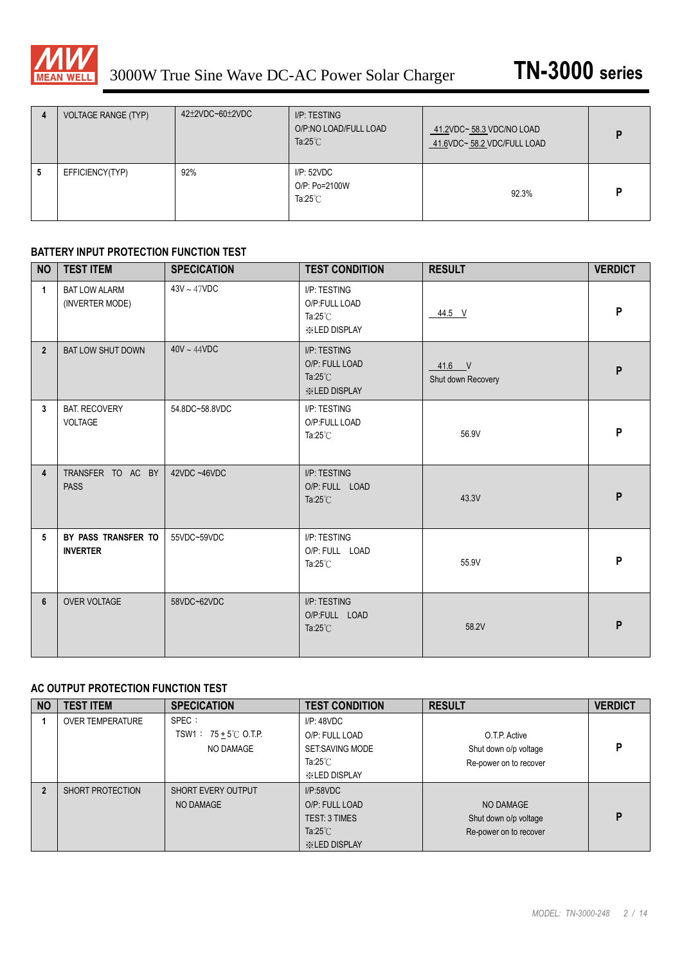

| 4 | <b>VOLTAGE RANGE (TYP)</b> | 42±2VDC~60±2VDC | I/P: TESTING<br>O/P:NO LOAD/FULL LOAD<br>Ta: $25^{\circ}$ C | 41.2VDC~58.3 VDC/NO LOAD<br>41.6VDC~58.2 VDC/FULL LOAD | D |
|---|----------------------------|-----------------|-------------------------------------------------------------|--------------------------------------------------------|---|
| 5 | EFFICIENCY(TYP)            | 92%             | I/P:52VDC<br>O/P: Po=2100W<br>Ta: $25^{\circ}$ C            | 92.3%                                                  |   |

#### **BATTERY INPUT PROTECTION FUNCTION TEST**

| <b>NO</b>      | <b>TEST ITEM</b>                        | <b>SPECICATION</b> | <b>TEST CONDITION</b>                                                       | <b>RESULT</b>                  | <b>VERDICT</b> |
|----------------|-----------------------------------------|--------------------|-----------------------------------------------------------------------------|--------------------------------|----------------|
| $\mathbf{1}$   | <b>BAT LOW ALARM</b><br>(INVERTER MODE) | $43V \sim 47VDC$   | I/P: TESTING<br>O/P:FULL LOAD<br>Ta: $25^{\circ}$ C<br><b>XXLED DISPLAY</b> | 44.5 V                         | P              |
| $\overline{2}$ | <b>BAT LOW SHUT DOWN</b>                | $40V \sim 44VDC$   | I/P: TESTING<br>O/P: FULL LOAD<br>Ta: $25^{\circ}$ C<br><b>ED DISPLAY</b>   | $41.6$ V<br>Shut down Recovery | P              |
| 3              | <b>BAT. RECOVERY</b><br><b>VOLTAGE</b>  | 54.8DC~58.8VDC     | I/P: TESTING<br>O/P:FULL LOAD<br>Ta: $25^{\circ}$ C                         | 56.9V                          | P              |
| 4              | TRANSFER TO AC BY<br><b>PASS</b>        | 42VDC~46VDC        | I/P: TESTING<br>O/P: FULL LOAD<br>Ta: $25^{\circ}$ C                        | 43.3V                          | P              |
| 5              | BY PASS TRANSFER TO<br><b>INVERTER</b>  | 55VDC~59VDC        | I/P: TESTING<br>O/P: FULL LOAD<br>Ta: $25^{\circ}$ C                        | 55.9V                          | P              |
| 6              | <b>OVER VOLTAGE</b>                     | 58VDC~62VDC        | I/P: TESTING<br>O/P:FULL LOAD<br>Ta: $25^{\circ}$ C                         | 58.2V                          | P              |

#### **AC OUTPUT PROTECTION FUNCTION TEST**

| <b>NO</b> | <b>TEST ITEM</b>        | <b>SPECICATION</b>                                    | <b>TEST CONDITION</b>                                                                          | <b>RESULT</b>                                                    | <b>VERDICT</b> |
|-----------|-------------------------|-------------------------------------------------------|------------------------------------------------------------------------------------------------|------------------------------------------------------------------|----------------|
|           | <b>OVER TEMPERATURE</b> | SPEC:<br>$TSW1: 75 + 5^{\circ}$ C O.T.P.<br>NO DAMAGE | I/P: 48VDC<br>O/P: FULL LOAD<br>SET:SAVING MODE<br>Ta:25 $°C$<br><b>ED DISPLAY</b>             | O.T.P. Active<br>Shut down o/p voltage<br>Re-power on to recover | D              |
|           | SHORT PROTECTION        | <b>SHORT EVERY OUTPUT</b><br>NO DAMAGE                | I/P:58VDC<br>O/P: FULL LOAD<br><b>TEST: 3 TIMES</b><br>Ta: $25^{\circ}$ C<br><b>ED DISPLAY</b> | NO DAMAGE<br>Shut down o/p voltage<br>Re-power on to recover     | D              |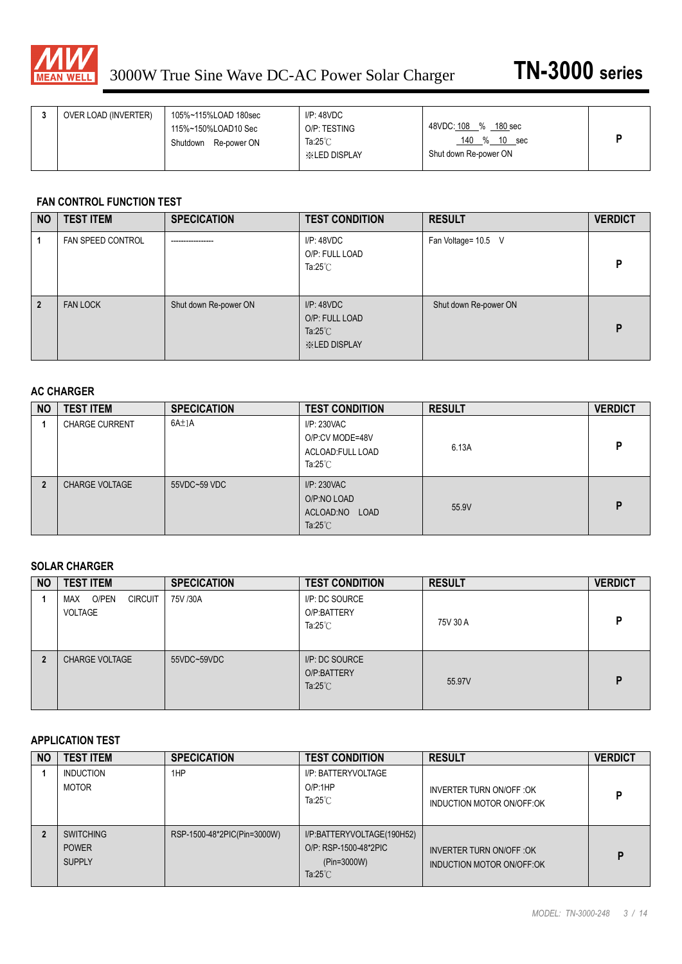

|  | OVER LOAD (INVERTER) | 105%~115%LOAD 180sec<br>115%~150%LOAD10 Sec<br>Shutdown Re-power ON | IP:48VDC<br>O/P: TESTING<br>Ta: $25^{\circ}$ C<br><b>XIED DISPLAY</b> | 48VDC: 108 %<br>180 <sub>sec</sub><br>140 % 10<br>sec<br>Shut down Re-power ON |  |
|--|----------------------|---------------------------------------------------------------------|-----------------------------------------------------------------------|--------------------------------------------------------------------------------|--|
|--|----------------------|---------------------------------------------------------------------|-----------------------------------------------------------------------|--------------------------------------------------------------------------------|--|

#### **FAN CONTROL FUNCTION TEST**

| <b>NO</b>      | <b>TEST ITEM</b>         | <b>SPECICATION</b>    | <b>TEST CONDITION</b>                                                      | <b>RESULT</b>         | <b>VERDICT</b> |
|----------------|--------------------------|-----------------------|----------------------------------------------------------------------------|-----------------------|----------------|
|                | <b>FAN SPEED CONTROL</b> | -----------------     | I/P: 48VDC<br>O/P: FULL LOAD<br>Ta: $25^{\circ}$ C                         | Fan Voltage= 10.5 V   | P              |
| $\overline{2}$ | <b>FAN LOCK</b>          | Shut down Re-power ON | I/P: 48VDC<br>O/P: FULL LOAD<br>Ta: $25^{\circ}$ C<br><b>XXLED DISPLAY</b> | Shut down Re-power ON | D              |

#### **AC CHARGER**

| <b>NO</b> | <b>TEST ITEM</b>      | <b>SPECICATION</b> | <b>TEST CONDITION</b>                                                     | <b>RESULT</b> | <b>VERDICT</b> |
|-----------|-----------------------|--------------------|---------------------------------------------------------------------------|---------------|----------------|
|           | <b>CHARGE CURRENT</b> | 6A±1A              | I/P: 230VAC<br>O/P:CV MODE=48V<br>ACLOAD: FULL LOAD<br>Ta: $25^{\circ}$ C | 6.13A         | P              |
|           | <b>CHARGE VOLTAGE</b> | 55VDC~59 VDC       | I/P: 230VAC<br>O/P:NO LOAD<br>ACLOAD:NO LOAD<br>Ta: $25^{\circ}$ C        | 55.9V         | D              |

#### **SOLAR CHARGER**

| <b>NO</b> | <b>TEST ITEM</b>                          | <b>SPECICATION</b> | <b>TEST CONDITION</b>                               | <b>RESULT</b> | <b>VERDICT</b> |
|-----------|-------------------------------------------|--------------------|-----------------------------------------------------|---------------|----------------|
|           | O/PEN<br><b>CIRCUIT</b><br>MAX<br>VOLTAGE | 75V /30A           | I/P: DC SOURCE<br>O/P:BATTERY<br>Ta: $25^{\circ}$ C | 75V 30 A      | P              |
|           | <b>CHARGE VOLTAGE</b>                     | 55VDC~59VDC        | I/P: DC SOURCE<br>O/P:BATTERY<br>Ta: $25^{\circ}$ C | 55.97V        | D              |

#### **APPLICATION TEST**

| <b>NO</b> | <b>TEST ITEM</b>                                  | <b>SPECICATION</b>          | <b>TEST CONDITION</b>                                                                    | <b>RESULT</b>                                          | <b>VERDICT</b> |
|-----------|---------------------------------------------------|-----------------------------|------------------------------------------------------------------------------------------|--------------------------------------------------------|----------------|
|           | <b>INDUCTION</b><br>MOTOR                         | 1HP                         | I/P: BATTERYVOLTAGE<br>O/P:1HP<br>Ta: $25^{\circ}$ C                                     | INVERTER TURN ON/OFF : OK<br>INDUCTION MOTOR ON/OFF:OK | D              |
|           | <b>SWITCHING</b><br><b>POWER</b><br><b>SUPPLY</b> | RSP-1500-48*2PIC(Pin=3000W) | I/P:BATTERYVOLTAGE(190H52)<br>O/P: RSP-1500-48*2PIC<br>(Pin=3000W)<br>Ta: $25^{\circ}$ C | INVERTER TURN ON/OFF : OK<br>INDUCTION MOTOR ON/OFF OK | D              |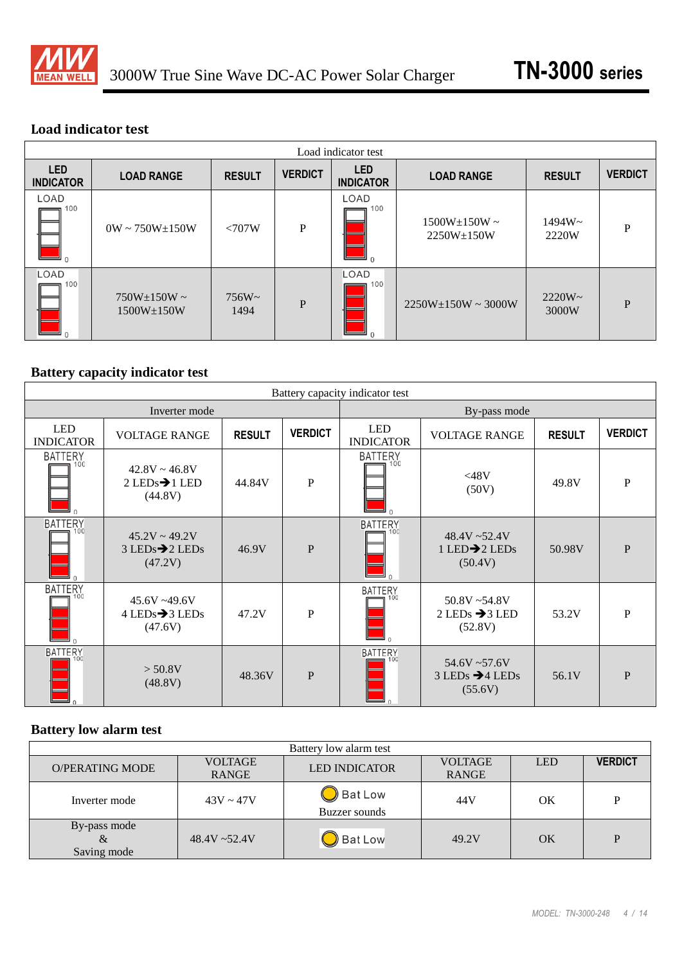

# **Load indicator test**

|                                | Load indicator test                      |                  |                |                                |                                           |                    |                |
|--------------------------------|------------------------------------------|------------------|----------------|--------------------------------|-------------------------------------------|--------------------|----------------|
| <b>LED</b><br><b>INDICATOR</b> | <b>LOAD RANGE</b>                        | <b>RESULT</b>    | <b>VERDICT</b> | <b>LED</b><br><b>INDICATOR</b> | <b>LOAD RANGE</b>                         | <b>RESULT</b>      | <b>VERDICT</b> |
| LOAD<br>100<br>$\Omega$        | $0W \sim 750W + 150W$                    | $\langle 707W$   | P              | LOAD<br>100<br>$\Omega$        | $1500W \pm 150W \sim$<br>$2250W \pm 150W$ | $1494W -$<br>2220W | P              |
| LOAD<br>100<br>⊐ ∩             | $750W \pm 150W \sim$<br>$1500W \pm 150W$ | $756W -$<br>1494 | P              | LOAD<br>100                    | $2250W \pm 150W \sim 3000W$               | $2220W -$<br>3000W | P              |

# **Battery capacity indicator test**

|                                 | Battery capacity indicator test                                |               |                |                                    |                                                            |               |                |  |
|---------------------------------|----------------------------------------------------------------|---------------|----------------|------------------------------------|------------------------------------------------------------|---------------|----------------|--|
|                                 | Inverter mode                                                  |               |                |                                    | By-pass mode                                               |               |                |  |
| <b>LED</b><br><b>INDICATOR</b>  | <b>VOLTAGE RANGE</b>                                           | <b>RESULT</b> | <b>VERDICT</b> | <b>LED</b><br><b>INDICATOR</b>     | <b>VOLTAGE RANGE</b>                                       | <b>RESULT</b> | <b>VERDICT</b> |  |
| <b>BATTERY</b><br>100<br>$\cap$ | $42.8V \sim 46.8V$<br>$2$ LEDs $\rightarrow$ 1 LED<br>(44.8V)  | 44.84V        | P              | <b>BATTERY</b><br>100<br>$\cap$    | <48V<br>(50V)                                              | 49.8V         | P              |  |
| <b>BATTERY</b><br>100<br>$\cap$ | $45.2V \sim 49.2V$<br>$3$ LEDs $\rightarrow$ 2 LEDs<br>(47.2V) | 46.9V         | P              | <b>BATTERY</b><br>$\Omega$         | $48.4V - 52.4V$<br>1 LED $\rightarrow$ 2 LEDs<br>(50.4V)   | 50.98V        | $\mathbf{P}$   |  |
| <b>BATTERY</b><br>100           | $45.6V - 49.6V$<br>$4$ LEDs $\rightarrow$ 3 LEDs<br>(47.6V)    | 47.2V         | P              | <b>BATTERY</b><br>$=100$<br>$\cap$ | $50.8V - 54.8V$<br>$2$ LEDs $\rightarrow$ 3 LED<br>(52.8V) | 53.2V         | $\mathbf{P}$   |  |
| <b>BATTERY</b><br>100           | > 50.8V<br>(48.8V)                                             | 48.36V        | P              | <b>BATTERY</b><br>$\Omega$         | 54.6V~57.6V<br>$3$ LEDs $\rightarrow$ 4 LEDs<br>(55.6V)    | 56.1V         | $\mathbf{P}$   |  |

# **Battery low alarm test**

| Battery low alarm test           |                 |                            |                |            |                |
|----------------------------------|-----------------|----------------------------|----------------|------------|----------------|
| <b>O/PERATING MODE</b>           | <b>VOLTAGE</b>  | <b>LED INDICATOR</b>       | <b>VOLTAGE</b> | <b>LED</b> | <b>VERDICT</b> |
|                                  | RANGE           |                            | <b>RANGE</b>   |            |                |
| Inverter mode                    | $43V \sim 47V$  | Bat Low<br>Buzzer sounds   | 44 V           | ΟK         | D              |
| By-pass mode<br>&<br>Saving mode | $48.4V - 52.4V$ | $\bigtriangledown$ Bat Low | 49.2V          | OK         | P              |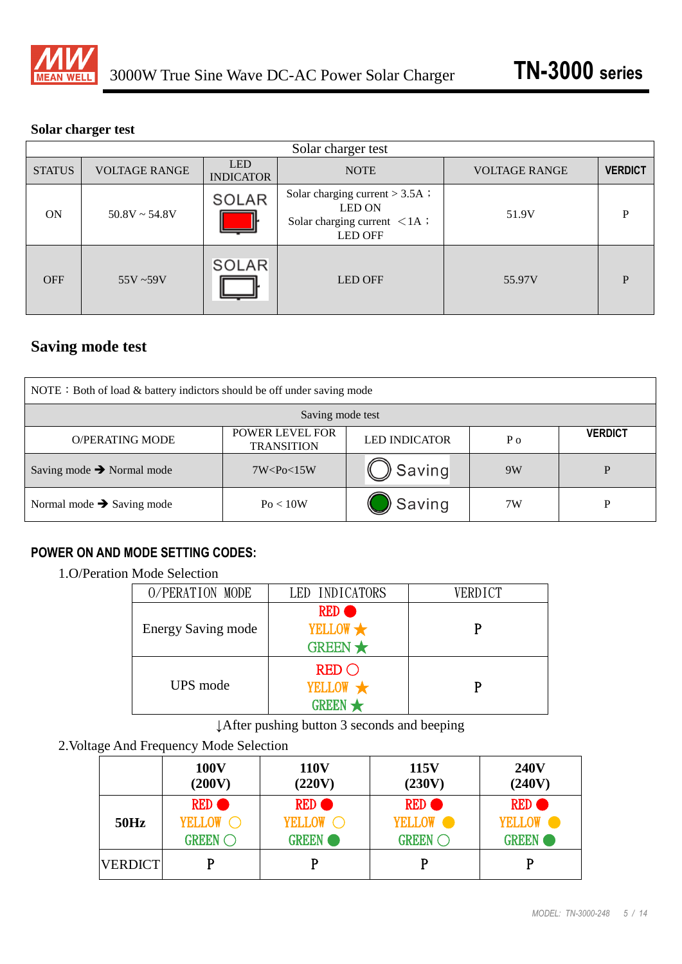

### **Solar charger test**

| Solar charger test |                      |                                |                                                                                                                     |                      |                |  |
|--------------------|----------------------|--------------------------------|---------------------------------------------------------------------------------------------------------------------|----------------------|----------------|--|
| <b>STATUS</b>      | <b>VOLTAGE RANGE</b> | <b>LED</b><br><b>INDICATOR</b> | <b>NOTE</b>                                                                                                         | <b>VOLTAGE RANGE</b> | <b>VERDICT</b> |  |
| <b>ON</b>          | $50.8V \sim 54.8V$   | SOLAR                          | Solar charging current $> 3.5A$ ;<br><b>LED ON</b><br>Solar charging current $\langle 1A \rangle$<br><b>LED OFF</b> | 51.9V                | Þ              |  |
| <b>OFF</b>         | $55V - 59V$          | <b>SOLAR</b>                   | <b>LED OFF</b>                                                                                                      | 55.97V               | D              |  |

# **Saving mode test**

| NOTE : Both of load $&$ battery indictors should be off under saving mode |                |        |    |   |  |
|---------------------------------------------------------------------------|----------------|--------|----|---|--|
| Saving mode test                                                          |                |        |    |   |  |
| <b>O/PERATING MODE</b>                                                    | <b>VERDICT</b> |        |    |   |  |
| Saving mode $\rightarrow$ Normal mode                                     | 7W < Po < 15W  | Saving | 9W | D |  |
| Normal mode $\rightarrow$ Saving mode                                     | Po < 10W       | Saving | 7W | D |  |

# **POWER ON AND MODE SETTING CODES:**

# 1.O/Peration Mode Selection

| O/PERATION MODE           | LED INDICATORS                                      | <b>VERDICT</b> |
|---------------------------|-----------------------------------------------------|----------------|
| <b>Energy Saving mode</b> | YELLOW <b>*</b><br>GREEN $\star$                    |                |
| UPS mode                  | $RED$ $\bigcirc$<br>YELLOW <b>*</b><br><b>GREEN</b> |                |

↓After pushing button 3 seconds and beeping

# 2.Voltage And Frequency Mode Selection

|                | <b>100V</b>    | <b>110V</b>  | 115V                | <b>240V</b>  |
|----------------|----------------|--------------|---------------------|--------------|
|                | (200V)         | (220V)       | (230V)              | (240V)       |
| 50Hz           | RED $\bullet$  |              | <b>RED</b>          | <b>RED</b>   |
|                | YELLOW C       | YELLOW C     | YELLOW <sub>•</sub> | YELLOW •     |
|                | <b>GREEN</b> O | <b>GREEN</b> | <b>GREEN</b> O      | <b>GREEN</b> |
| <b>VERDICT</b> |                |              | P                   |              |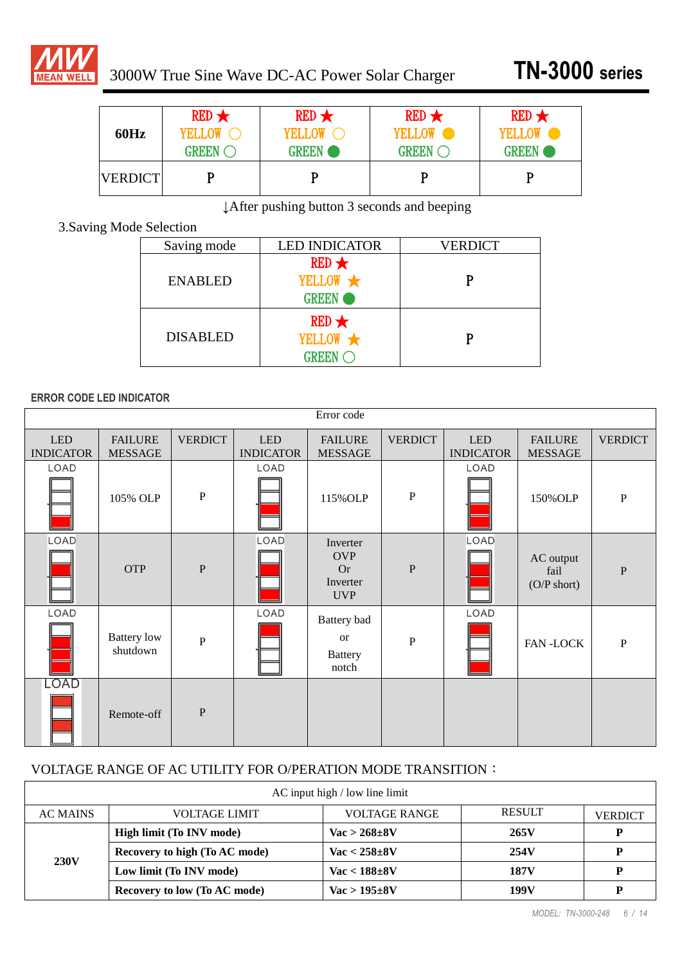

| 60Hz           | $RED \star$             | $RED \star$  | $RED \star$             | $RED \star$  |
|----------------|-------------------------|--------------|-------------------------|--------------|
|                | YELLOW O                | YELLOW O     | YELLOW •                |              |
|                | <b>GREEN</b> $\bigcirc$ | <b>GREEN</b> | <b>GREEN</b> $\bigcirc$ | <b>GREEN</b> |
| <b>VERDICT</b> |                         |              |                         | D            |

↓After pushing button 3 seconds and beeping

# 3.Saving Mode Selection

| Saving mode     | <b>LED INDICATOR</b>                              | <b>VERDICT</b> |
|-----------------|---------------------------------------------------|----------------|
| <b>ENABLED</b>  | $RED \star$<br>YELLOW <b>*</b><br><b>GREEN</b>    |                |
| <b>DISABLED</b> | $RED \star$<br>YELLOW *<br><b>GREEN</b> $\subset$ |                |

### **ERROR CODE LED INDICATOR**

| Error code                     |                                  |                |                                |                                                               |                |                                |                                            |                |
|--------------------------------|----------------------------------|----------------|--------------------------------|---------------------------------------------------------------|----------------|--------------------------------|--------------------------------------------|----------------|
| <b>LED</b><br><b>INDICATOR</b> | <b>FAILURE</b><br><b>MESSAGE</b> | <b>VERDICT</b> | <b>LED</b><br><b>INDICATOR</b> | <b>FAILURE</b><br><b>MESSAGE</b>                              | <b>VERDICT</b> | <b>LED</b><br><b>INDICATOR</b> | <b>FAILURE</b><br><b>MESSAGE</b>           | <b>VERDICT</b> |
| LOAD                           | 105% OLP                         | $\, {\bf P}$   | LOAD                           | 115% OLP                                                      | $\, {\bf P}$   | LOAD                           | 150% OLP                                   | $\, {\bf P}$   |
| LOAD                           | <b>OTP</b>                       | $\mathbf{P}$   | LOAD                           | Inverter<br><b>OVP</b><br><b>Or</b><br>Inverter<br><b>UVP</b> | $\mathbf{P}$   | LOAD                           | AC output<br>fail<br>$(O/P \text{ short})$ | $\mathbf{P}$   |
| LOAD                           | <b>Battery</b> low<br>shutdown   | $\mathbf{P}$   | LOAD                           | Battery bad<br><b>or</b><br><b>Battery</b><br>notch           | $\mathbf{P}$   | LOAD                           | <b>FAN-LOCK</b>                            | $\, {\bf P}$   |
| LOAD                           | Remote-off                       | $\mathbf{P}$   |                                |                                                               |                |                                |                                            |                |

### VOLTAGE RANGE OF AC UTILITY FOR O/PERATION MODE TRANSITION:

| $AC$ input high / low line limit |                                     |                                   |               |                |  |  |
|----------------------------------|-------------------------------------|-----------------------------------|---------------|----------------|--|--|
| AC MAINS                         | <b>VOLTAGE LIMIT</b>                | <b>VOLTAGE RANGE</b>              | <b>RESULT</b> | <b>VERDICT</b> |  |  |
| <b>230V</b>                      | High limit (To INV mode)            | $\text{Vac} > 268 \pm 8 \text{V}$ | 265V          | D              |  |  |
|                                  | Recovery to high (To AC mode)       | $Vac < 258 \pm 8V$                | 254V          |                |  |  |
|                                  | Low limit (To INV mode)             | $Vac < 188 \pm 8V$                | 187V          | P              |  |  |
|                                  | <b>Recovery to low (To AC mode)</b> | $Vac > 195 \pm 8V$                | 199V          |                |  |  |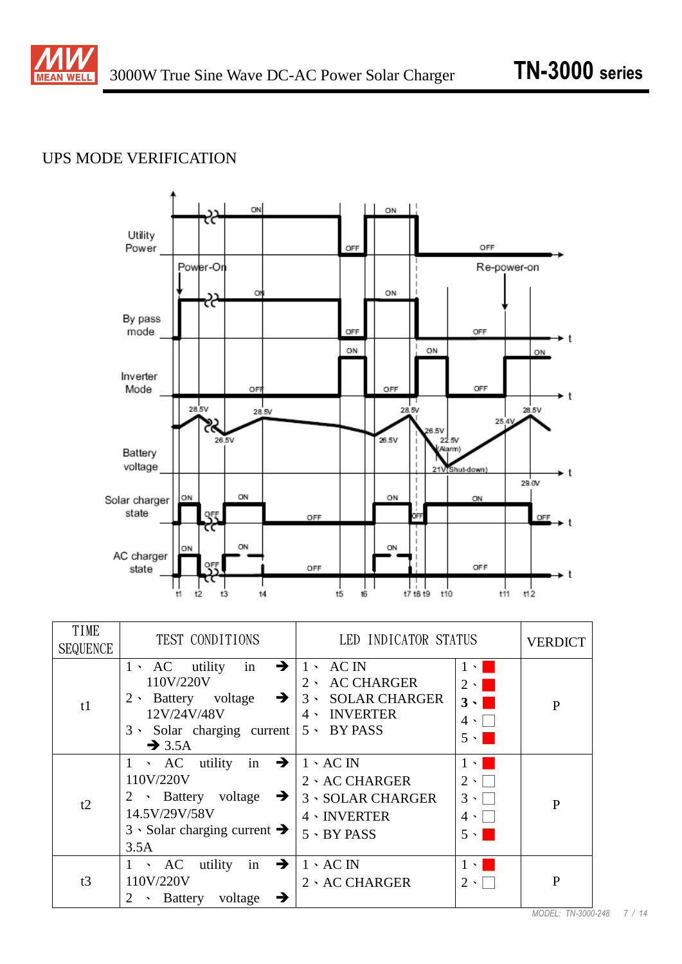

# UPS MODE VERIFICATION



| TIME<br><b>SEQUENCE</b> | TEST CONDITIONS                                                                                                                                                      | LED INDICATOR STATUS                                                                                                   |                                                                                                           | <b>VERDICT</b> |
|-------------------------|----------------------------------------------------------------------------------------------------------------------------------------------------------------------|------------------------------------------------------------------------------------------------------------------------|-----------------------------------------------------------------------------------------------------------|----------------|
| t1                      | $1 \cdot AC$ utility in<br>110V/220V<br>2 · Battery voltage $\rightarrow$<br>12V/24V/48V<br>$3 \cdot$ Solar charging current $5 \cdot$ BY PASS<br>$\rightarrow$ 3.5A | $\rightarrow$   1 \ AC IN<br><b>AC CHARGER</b><br>$2 \cdot$<br>3 SOLAR CHARGER<br>$4 \cdot$ INVERTER                   | $1 \cdot \blacksquare$<br>$2 \cdot \blacksquare$<br>$3 \cdot$<br>$4 \cdot \Box$<br>$5 \cdot \blacksquare$ | $\mathbf{P}$   |
| t2                      | 1 \ AC utility in $\rightarrow$<br>110V/220V<br>2 • Battery voltage $\rightarrow$<br>14.5V/29V/58V<br>$3 \cdot$ Solar charging current $\rightarrow$<br>3.5A         | $1 \cdot AC \text{ IN}$<br>$2 \cdot AC$ CHARGER<br><b>3 · SOLAR CHARGER</b><br>$4 \cdot INVERTER$<br>$5 \cdot BY$ PASS | $1 \cdot \blacksquare$<br>$2 \cdot \Box$<br>$3 \cdot \Box$<br>$4 \cdot \Box$<br>$5 \cdot$                 | $\mathbf{P}$   |
| t3                      | in $\rightarrow$<br>utility<br>$\cdot$ AC<br>110V/220V<br>Battery voltage<br>→<br>2<br>$\blacktriangledown$                                                          | $1 \cdot AC \text{ IN}$<br>2 · AC CHARGER                                                                              | $1 \cdot 1$<br>$2 \cdot$                                                                                  | $\mathbf{P}$   |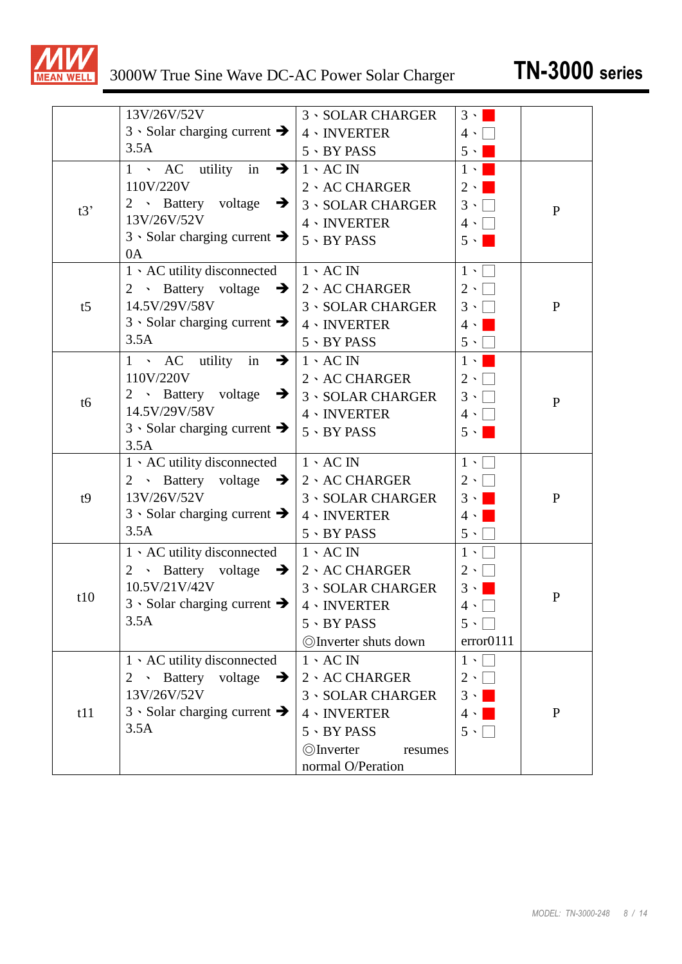

|                | 13V/26V/52V                                       | <b>3 · SOLAR CHARGER</b>     | $3 \cdot  $            |              |
|----------------|---------------------------------------------------|------------------------------|------------------------|--------------|
|                | $3 \cdot$ Solar charging current $\rightarrow$    | $4 \cdot INVERTER$           | $4 \cdot  $            |              |
|                | 3.5A                                              | $5 \cdot BY$ PASS            | $5 \cdot \blacksquare$ |              |
|                | $1 \rightarrow AC$ utility<br>in<br>$\rightarrow$ | $1 \cdot AC \text{ IN}$      | $1 \cdot \blacksquare$ |              |
|                | 110V/220V                                         | 2、AC CHARGER                 | $2 \cdot  $            |              |
| t3'            | 2 · Battery voltage<br>$\rightarrow$              | <b>3 · SOLAR CHARGER</b>     | $3 \cdot \Box$         | $\mathbf{P}$ |
|                | 13V/26V/52V                                       | $4 \cdot INVERTER$           | $4 \cdot$              |              |
|                | $3 \cdot$ Solar charging current $\rightarrow$    | $5 \cdot BY$ PASS            | $5 \cdot$              |              |
|                | 0A                                                |                              |                        |              |
|                | 1 \ AC utility disconnected                       | $1 \cdot AC \text{ IN}$      | $1 \cdot$              |              |
|                | 2 • Battery voltage $\rightarrow$                 | 2、AC CHARGER                 | $2 \cdot \Box$         |              |
| t <sub>5</sub> | 14.5V/29V/58V                                     | <b>3 · SOLAR CHARGER</b>     | $3 \cdot \Box$         | $\mathbf{P}$ |
|                | $3 \cdot$ Solar charging current $\rightarrow$    | $4 \cdot INVERTER$           | $4 \cdot  $            |              |
|                | 3.5A                                              | $5 \cdot BY$ PASS            | $5 \cdot$              |              |
|                | $1 \cdot AC$ utility<br>$\rightarrow$<br>in       | $1 \cdot AC \text{ IN}$      | $1 \cdot  $            |              |
|                | 110V/220V                                         | 2 · AC CHARGER               | $2 \cdot  $            |              |
| t6             | 2 • Battery voltage $\rightarrow$                 | <b>3 · SOLAR CHARGER</b>     | $3 \cdot \Box$         | ${\bf P}$    |
|                | 14.5V/29V/58V                                     | $4 \cdot INVERTER$           | $4 \cdot \Box$         |              |
|                | $3 \cdot$ Solar charging current $\rightarrow$    | $5 \cdot BY$ PASS            | $5 \cdot \blacksquare$ |              |
|                | 3.5A                                              |                              |                        |              |
|                | 1 \ AC utility disconnected                       | $1 \cdot AC \text{ IN}$      | $1 \cdot$              |              |
|                | 2 · Battery voltage<br>$\rightarrow$              | $2 \cdot AC$ CHARGER         | $2 \cdot \Box$         |              |
| t9             | 13V/26V/52V                                       | <b>3 · SOLAR CHARGER</b>     | $3 \cdot \blacksquare$ | ${\bf P}$    |
|                | $3 \cdot$ Solar charging current $\rightarrow$    | $4 \cdot INVERTER$           | $4 \cdot  $            |              |
|                | 3.5A                                              | 5 · BY PASS                  | $5 \cdot$              |              |
|                | 1 \ AC utility disconnected                       | $1 \cdot AC \text{ IN}$      | $1 \cdot \Box$         |              |
|                | 2 · Battery voltage $\rightarrow$                 | 2 、 AC CHARGER               | $2 \cdot$              |              |
| t10            | 10.5V/21V/42V                                     | <b>3 · SOLAR CHARGER</b>     | $3 \cdot$              | P            |
|                | $3 \cdot$ Solar charging current $\rightarrow$    | $4 \cdot INVERTER$           | $4 \cdot$              |              |
|                | 3.5A                                              | $5 \cdot BY$ PASS            | $5 \cdot \Box$         |              |
|                |                                                   | <b>OInverter shuts down</b>  | error0111              |              |
|                | $1 \cdot AC$ utility disconnected                 | $1 \cdot AC \text{ IN}$      | $1 \cdot$              |              |
|                | 2 · Battery voltage<br>$\rightarrow$              | 2、AC CHARGER                 | $2 \cdot \Box$         |              |
|                | 13V/26V/52V                                       | <b>3 · SOLAR CHARGER</b>     | $3 \cdot$              |              |
| t11            | 3 Solar charging current $\rightarrow$            | $4 \cdot INVERTER$           | $4 \cdot  $            | $\mathbf{P}$ |
|                | 3.5A                                              | $5 \cdot BY$ PASS            | $5 \cdot \Box$         |              |
|                |                                                   | <b>O</b> Inverter<br>resumes |                        |              |
|                |                                                   | normal O/Peration            |                        |              |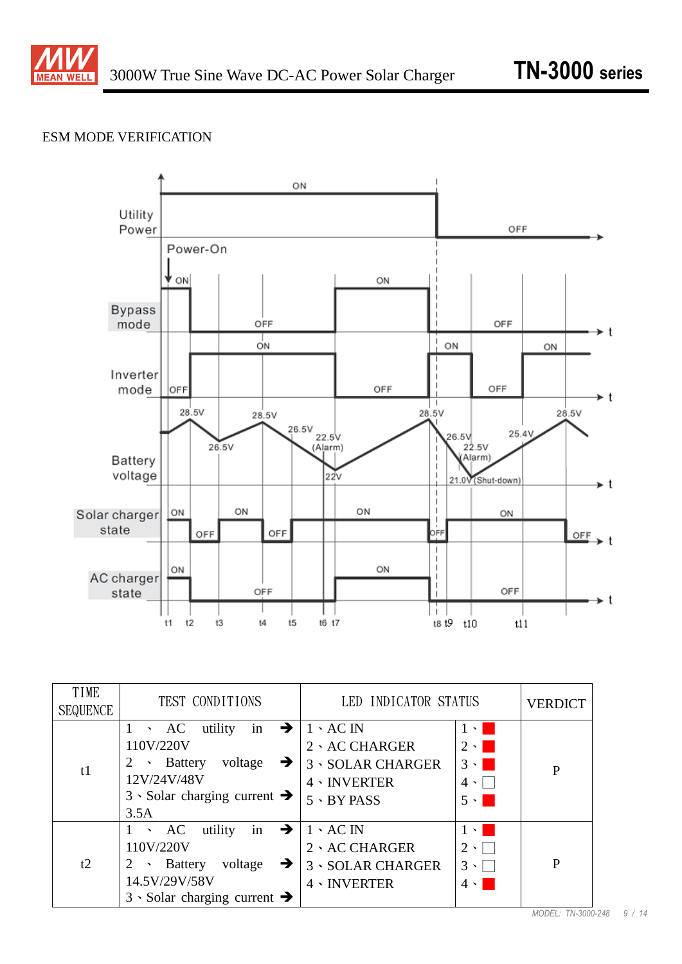

### ESM MODE VERIFICATION



| TIME<br><b>SEQUENCE</b> | TEST CONDITIONS                                                                                                                                                                | LED INDICATOR STATUS                                                                                           |                                                                                                              | <b>VERDICT</b> |
|-------------------------|--------------------------------------------------------------------------------------------------------------------------------------------------------------------------------|----------------------------------------------------------------------------------------------------------------|--------------------------------------------------------------------------------------------------------------|----------------|
| t1                      | utility<br>in $\rightarrow$<br>$\cdot$ AC<br>110V/220V<br>voltage<br>$\cdot$ Battery<br>$\rightarrow$<br>12V/24V/48V<br>$3 \cdot$ Solar charging current $\rightarrow$<br>3.5A | $1 \cdot AC \text{ IN}$<br>2、AC CHARGER<br><b>3 · SOLAR CHARGER</b><br>$4 \cdot INVERTER$<br>$5 \cdot BY$ PASS | $1 \cdot \blacksquare$<br>$2 \cdot \blacksquare$<br>$3 \cdot \blacksquare$<br>$4 \cdot \square$<br>$5 \cdot$ | $\mathbf{P}$   |
| t2                      | utility<br>in $\rightarrow$<br>$\cdot$ AC<br>110V/220V<br>voltage<br>$\rightarrow$<br>$\sim$ Battery<br>2<br>14.5V/29V/58V<br>$3 \cdot$ Solar charging current $\rightarrow$   | $1 \cdot AC \text{ IN}$<br>$2 \cdot AC$ CHARGER<br><b>3 · SOLAR CHARGER</b><br>$4 \cdot INVERTER$              | $1 \cdot \square$<br>$2 \cdot \Box$<br>$3 \cdot \Box$<br>$4 \cdot \square$                                   | $\mathbf{P}$   |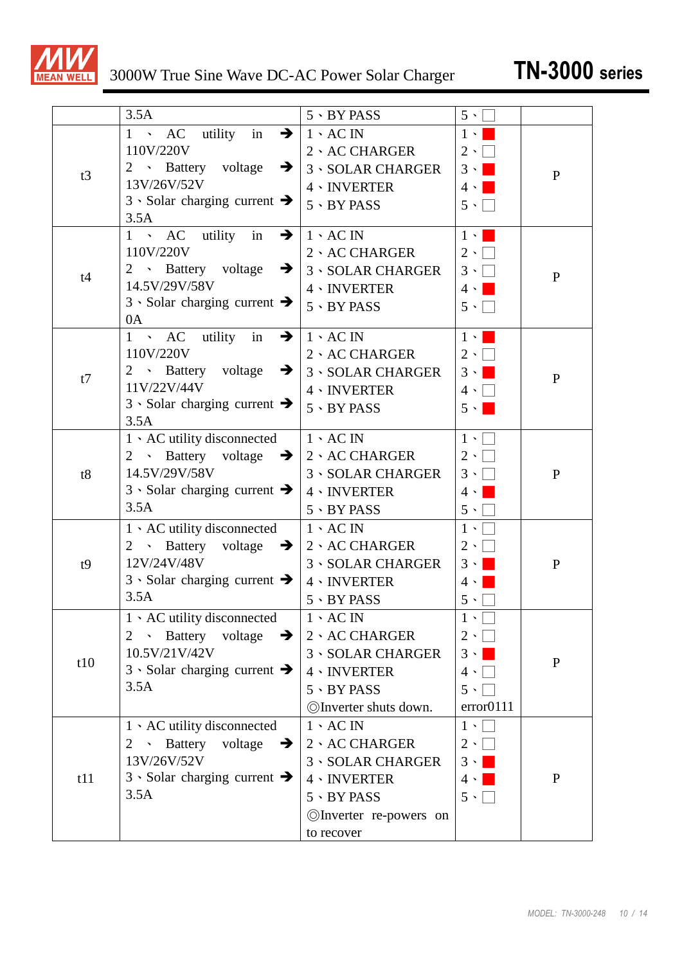

|     | 3.5A                                                           | $5 \cdot BY$ PASS        | $5 \cdot$              |              |
|-----|----------------------------------------------------------------|--------------------------|------------------------|--------------|
|     | 1 > AC utility in<br>$\rightarrow$                             | $1 \cdot AC \text{ IN}$  | $1 \cdot 1$            |              |
|     | 110V/220V                                                      | 2、AC CHARGER             | $2 \cdot \Box$         |              |
| t3  | 2 · Battery voltage<br>$\rightarrow$                           | <b>3 · SOLAR CHARGER</b> | $3 \cdot$              | $\mathbf{P}$ |
|     | 13V/26V/52V                                                    | 4、INVERTER               | $4 \cdot$              |              |
|     | $3 \cdot$ Solar charging current $\rightarrow$                 | $5 \cdot BY$ PASS        | $5 \cdot \Box$         |              |
|     | 3.5A                                                           |                          |                        |              |
|     | $1 \cdot AC$ utility in<br>$\rightarrow$                       | $1 \cdot AC \text{ IN}$  | $1 \cdot \blacksquare$ |              |
|     | 110V/220V                                                      | 2、AC CHARGER             | $2 \cdot \Box$         |              |
| t4  | 2 • Battery voltage $\rightarrow$                              | <b>3 · SOLAR CHARGER</b> | $3 \cdot \Box$         | $\mathbf{P}$ |
|     | 14.5V/29V/58V                                                  | 4、INVERTER               | $4 \cdot \blacksquare$ |              |
|     | $3 \cdot$ Solar charging current $\rightarrow$                 | $5 \cdot BY$ PASS        | $5 \cdot \Box$         |              |
|     | 0A                                                             |                          |                        |              |
|     | No AC utility in<br>$1 \quad$<br>$\rightarrow$<br>110V/220V    | $1 \cdot AC$ IN          | $1 \cdot \square$      |              |
|     | 2 • Battery voltage<br>$\rightarrow$                           | 2、AC CHARGER             | $2 \cdot \Box$         |              |
| t7  | 11V/22V/44V                                                    | <b>3 · SOLAR CHARGER</b> | $3 \cdot \blacksquare$ | $\mathbf P$  |
|     | $3 \cdot$ Solar charging current $\rightarrow$                 | 4、INVERTER               | $4 \cdot \Box$         |              |
|     | 3.5A                                                           | $5 \cdot BY$ PASS        | $5 \cdot$              |              |
|     | $1 \cdot AC$ utility disconnected                              | $1 \cdot AC$ IN          | $1 \cdot \Box$         |              |
|     | 2 • Battery voltage $\rightarrow$                              | 2、AC CHARGER             | $2 \cdot 1$            |              |
| t8  | 14.5V/29V/58V                                                  | <b>3 · SOLAR CHARGER</b> | $3 \cdot \Box$         | $\mathbf{P}$ |
|     | $3 \cdot$ Solar charging current $\rightarrow$                 | 4、INVERTER               | $4 \cdot  $            |              |
|     | 3.5A                                                           | $5 \cdot BY$ PASS        | $5 \cdot \Box$         |              |
|     | $1 \cdot AC$ utility disconnected                              | $1 \cdot AC \text{ IN}$  | $1 \cdot$              |              |
|     | 2 • Battery voltage $\rightarrow$                              | $2 \cdot AC$ CHARGER     | $2 \cdot  $            |              |
| t9  | 12V/24V/48V                                                    | <b>3 · SOLAR CHARGER</b> | $3 \cdot 1$            | $\mathbf{P}$ |
|     | $3 \cdot$ Solar charging current $\rightarrow$                 | 4、INVERTER               | $4 \cdot$              |              |
|     | 3.5A                                                           | $5 \cdot BY$ PASS        | $5 \cdot$              |              |
|     | $1 \cdot AC$ utility disconnected                              | $1 \cdot AC$ IN          | $1 \cdot \Box$         |              |
|     | · Battery voltage<br>$\rightarrow$<br>$\mathbf{2}^{\prime}$    | 2 \ AC CHARGER           | $2 \cdot \Box$         |              |
|     | 10.5V/21V/42V                                                  | <b>3 · SOLAR CHARGER</b> | $3 \cdot \blacksquare$ |              |
| t10 | $3 \cdot$ Solar charging current $\rightarrow$                 | 4、INVERTER               | $4 \cdot  $            | $\mathbf{P}$ |
|     | 3.5A                                                           | $5.9$ BY PASS            | $5 \cdot$              |              |
|     |                                                                | ©Inverter shuts down.    | error0111              |              |
|     | 1 \ AC utility disconnected                                    | $1 \cdot AC \text{ IN}$  | $1 \cdot \Box$         |              |
|     | Battery<br>voltage<br>$\mathbf{v}^{\pm}$<br>$\rightarrow$<br>2 | 2 \ AC CHARGER           | $2 \cdot \Box$         |              |
|     | 13V/26V/52V                                                    | <b>3 · SOLAR CHARGER</b> | $3 \cdot \blacksquare$ |              |
| t11 | $3 \cdot$ Solar charging current $\rightarrow$                 | 4、INVERTER               | $4 \cdot \blacksquare$ | $\mathbf{P}$ |
|     | 3.5A                                                           | $5 \cdot BY$ PASS        | $5 \cdot \Box$         |              |
|     |                                                                |                          |                        |              |
|     |                                                                | ©Inverter re-powers on   |                        |              |
|     |                                                                | to recover               |                        |              |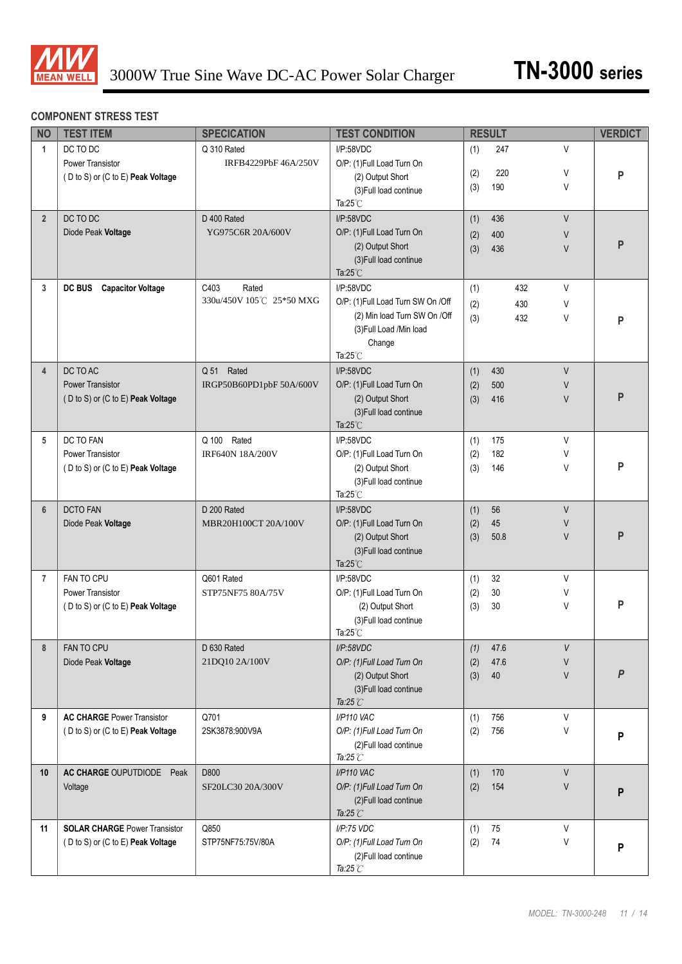

#### **COMPONENT STRESS TEST**

| <b>NO</b>        | <b>TEST ITEM</b>                          | <b>SPECICATION</b>                        | <b>TEST CONDITION</b>             |     | <b>RESULT</b> |          | <b>VERDICT</b> |
|------------------|-------------------------------------------|-------------------------------------------|-----------------------------------|-----|---------------|----------|----------------|
| $\mathbf{1}$     | DC TO DC                                  | Q 310 Rated                               | I/P:58VDC                         | (1) | 247           | V        |                |
|                  | Power Transistor                          | IRFB4229PbF 46A/250V                      | O/P: (1)Full Load Turn On         | (2) | 220           | V        |                |
|                  | (D to S) or (C to E) Peak Voltage         |                                           | (2) Output Short                  | (3) | 190           | V        | P              |
|                  |                                           |                                           | (3) Full load continue            |     |               |          |                |
|                  |                                           |                                           | Ta: $25^{\circ}$ C                |     |               |          |                |
| $\overline{2}$   | DC TO DC                                  | D 400 Rated                               | I/P:58VDC                         | (1) | 436           | V        |                |
|                  | Diode Peak Voltage                        | YG975C6R 20A/600V                         | O/P: (1)Full Load Turn On         | (2) | 400           | V        | $\mathsf{P}$   |
|                  |                                           |                                           | (2) Output Short                  | (3) | 436           | V        |                |
|                  |                                           |                                           | (3) Full load continue            |     |               |          |                |
|                  |                                           |                                           | Ta: $25^{\circ}$ C                |     |               |          |                |
| 3                | <b>DC BUS</b><br><b>Capacitor Voltage</b> | C403<br>Rated<br>330u/450V 105℃ 25*50 MXG | I/P:58VDC                         | (1) |               | V<br>432 |                |
|                  |                                           |                                           | O/P: (1)Full Load Turn SW On /Off | (2) |               | 430<br>V |                |
|                  |                                           |                                           | (2) Min load Turn SW On /Off      | (3) |               | 432<br>V | P              |
|                  |                                           |                                           | (3) Full Load / Min load          |     |               |          |                |
|                  |                                           |                                           | Change<br>Ta: $25^{\circ}$ C      |     |               |          |                |
| $\overline{4}$   | DC TO AC                                  | Q 51 Rated                                | I/P:58VDC                         | (1) | 430           | $\vee$   |                |
|                  | <b>Power Transistor</b>                   | IRGP50B60PD1pbF 50A/600V                  | O/P: (1)Full Load Turn On         | (2) | 500           | V        |                |
|                  | (D to S) or (C to E) Peak Voltage         |                                           | (2) Output Short                  | (3) | 416           | V        | P              |
|                  |                                           |                                           | (3) Full load continue            |     |               |          |                |
|                  |                                           |                                           | Ta: $25^{\circ}$ C                |     |               |          |                |
| 5                | DC TO FAN                                 | Rated<br>Q 100                            | I/P:58VDC                         | (1) | 175           | V        |                |
|                  | Power Transistor                          | IRF640N 18A/200V                          | O/P: (1)Full Load Turn On         | (2) | 182           | V        |                |
|                  | (D to S) or (C to E) Peak Voltage         |                                           | (2) Output Short                  | (3) | 146           | V        | P              |
|                  |                                           |                                           | (3) Full load continue            |     |               |          |                |
|                  |                                           |                                           | Ta: $25^{\circ}$ C                |     |               |          |                |
| $\boldsymbol{6}$ | <b>DCTO FAN</b>                           | D 200 Rated                               | I/P:58VDC                         | (1) | 56            | V        |                |
|                  | Diode Peak Voltage                        | MBR20H100CT 20A/100V                      | O/P: (1)Full Load Turn On         | (2) | 45            | V        |                |
|                  |                                           |                                           | (2) Output Short                  | (3) | 50.8          | V        | P              |
|                  |                                           |                                           | (3) Full load continue            |     |               |          |                |
|                  |                                           |                                           | Ta: $25^{\circ}$ C                |     |               |          |                |
| $\overline{7}$   | FAN TO CPU                                | Q601 Rated                                | I/P:58VDC                         | (1) | 32            | V        |                |
|                  | Power Transistor                          | STP75NF75 80A/75V                         | O/P: (1)Full Load Turn On         | (2) | 30            | V        |                |
|                  | (D to S) or (C to E) Peak Voltage         |                                           | (2) Output Short                  | (3) | 30            | V        | P              |
|                  |                                           |                                           | (3) Full load continue            |     |               |          |                |
|                  |                                           |                                           | Ta: $25^{\circ}$ C                |     |               |          |                |
| 8                | FAN TO CPU                                | D 630 Rated                               | I/P:58VDC                         | (1) | 47.6          | V        |                |
|                  | Diode Peak Voltage                        | 21DQ10 2A/100V                            | O/P: (1)Full Load Turn On         | (2) | 47.6          | V        |                |
|                  |                                           |                                           | (2) Output Short                  | (3) | 40            | $\vee$   | P              |
|                  |                                           |                                           | (3) Full load continue            |     |               |          |                |
|                  |                                           |                                           | Ta:25 $\mathcal{C}$               |     |               |          |                |
| 9                | <b>AC CHARGE Power Transistor</b>         | Q701                                      | I/P110 VAC                        | (1) | 756           | V        |                |
|                  | (D to S) or (C to E) Peak Voltage         | 2SK3878:900V9A                            | O/P: (1)Full Load Turn On         | (2) | 756           | V        | P              |
|                  |                                           |                                           | (2) Full load continue            |     |               |          |                |
|                  |                                           |                                           | Ta:25 $\mathcal{C}$               |     |               |          |                |
| 10               | AC CHARGE OUPUTDIODE Peak                 | D800                                      | I/P110 VAC                        | (1) | 170           | V        |                |
|                  | Voltage                                   | SF20LC30 20A/300V                         | O/P: (1)Full Load Turn On         | (2) | 154           | V        | P              |
|                  |                                           |                                           | (2) Full load continue            |     |               |          |                |
|                  |                                           |                                           | Ta:25 $\mathbb{C}$                |     |               |          |                |
| 11               | <b>SOLAR CHARGE Power Transistor</b>      | Q850                                      | I/P:75 VDC                        | (1) | 75            | V        |                |
|                  | (D to S) or (C to E) Peak Voltage         | STP75NF75:75V/80A                         | O/P: (1)Full Load Turn On         | (2) | 74            | V        | P              |
|                  |                                           |                                           | (2) Full load continue            |     |               |          |                |
|                  |                                           |                                           | Ta:25 $\mathbb C$                 |     |               |          |                |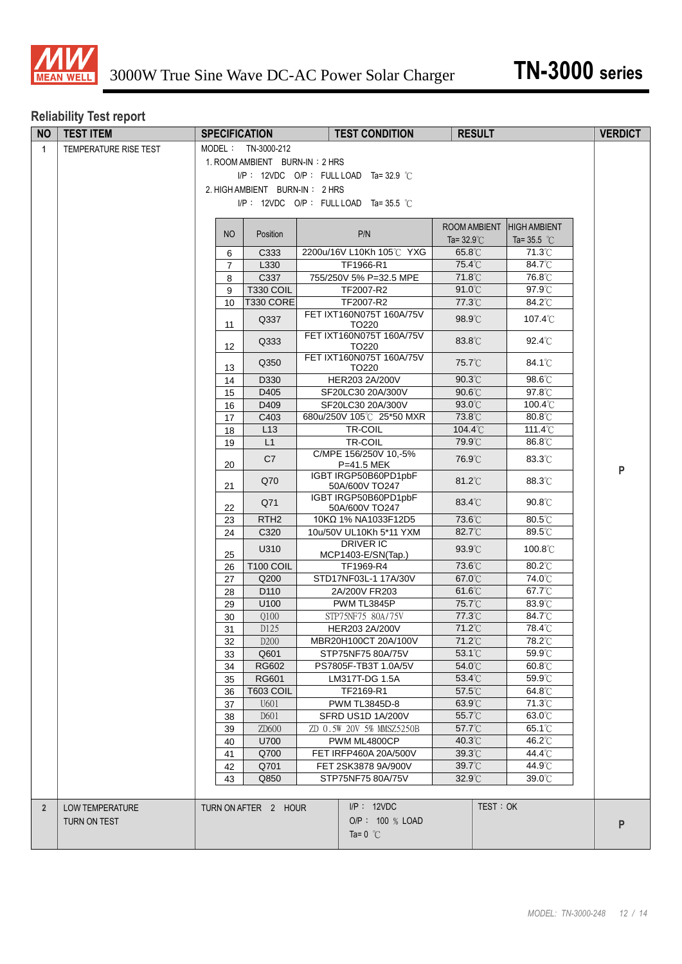

# **Reliability Test report**

| <b>NO</b>      | <b>TEST ITEM</b>       |                                          |                                         | <b>SPECIFICATION</b>     |  | <b>TEST CONDITION</b>                         | <b>RESULT</b>        |                                | <b>VERDICT</b> |
|----------------|------------------------|------------------------------------------|-----------------------------------------|--------------------------|--|-----------------------------------------------|----------------------|--------------------------------|----------------|
| $\mathbf{1}$   | TEMPERATURE RISE TEST  | MODEL: TN-3000-212                       |                                         |                          |  |                                               |                      |                                |                |
|                |                        | 1. ROOM AMBIENT BURN-IN: 2 HRS           |                                         |                          |  |                                               |                      |                                |                |
|                |                        | $I/P$ : 12VDC O/P : FULL LOAD Ta=32.9 °C |                                         |                          |  |                                               |                      |                                |                |
|                |                        |                                          | 2. HIGH AMBIENT BURN-IN: 2 HRS          |                          |  |                                               |                      |                                |                |
|                |                        |                                          | $I/P$ : 12VDC O/P: FULL LOAD Ta=35.5 °C |                          |  |                                               |                      |                                |                |
|                |                        |                                          |                                         |                          |  |                                               |                      |                                |                |
|                |                        |                                          |                                         |                          |  |                                               | ROOM AMBIENT         | <b>HIGH AMBIENT</b>            |                |
|                |                        |                                          | N <sub>O</sub>                          | Position                 |  | P/N                                           | Ta= $32.9^{\circ}$ C | Ta=35.5 $^{\circ}$ C           |                |
|                |                        |                                          | 6                                       | C333                     |  | 2200u/16V L10Kh 105℃ YXG                      | 65.8°C               | 71.3°C                         |                |
|                |                        |                                          | $\overline{7}$                          | L330                     |  | TF1966-R1                                     | 75.4°C               | 84.7°C                         |                |
|                |                        |                                          | 8                                       | C337                     |  | 755/250V 5% P=32.5 MPE                        | 71.8°C               | 76.8°C                         |                |
|                |                        |                                          | 9                                       | <b>T330 COIL</b>         |  | TF2007-R2                                     | 91.0°C               | 97.9°C                         |                |
|                |                        |                                          | 10                                      | T330 CORE                |  | TF2007-R2                                     | 77.3°C               | 84.2°C                         |                |
|                |                        |                                          | 11                                      | Q337                     |  | FET IXT160N075T 160A/75V<br>TO220             | 98.9°C               | $107.4^{\circ}$ C              |                |
|                |                        |                                          | 12                                      | Q333                     |  | FET IXT160N075T 160A/75V<br>TO220             | 83.8°C               | 92.4°C                         |                |
|                |                        |                                          | 13                                      | Q350                     |  | FET IXT160N075T 160A/75V<br>TO220             | 75.7°C               | $84.1^{\circ}$ C               |                |
|                |                        |                                          | 14                                      | D330                     |  | HER203 2A/200V                                | 90.3°C               | 98.6°C                         |                |
|                |                        |                                          | 15                                      | D405                     |  | SF20LC30 20A/300V                             | 90.6°C               | 97.8°C                         |                |
|                |                        |                                          | 16                                      | D409                     |  | SF20LC30 20A/300V<br>680u/250V 105℃ 25*50 MXR | 93.0°C               | 100.4°C<br>80.8°C              |                |
|                |                        |                                          | 17                                      | C403<br>L13              |  | TR-COIL                                       | 73.8°C<br>104.4°C    | 111.4°C                        |                |
|                |                        |                                          | 18<br>19                                | L1                       |  | TR-COIL                                       | 79.9°C               | 86.8°C                         |                |
|                |                        |                                          |                                         |                          |  | C/MPE 156/250V 10,-5%                         |                      |                                |                |
|                |                        |                                          | 20                                      | C7                       |  | P=41.5 MEK<br>IGBT IRGP50B60PD1pbF            | 76.9°C               | 83.3°C                         | P              |
|                |                        |                                          | 21                                      | Q70                      |  | 50A/600V TO247<br>IGBT IRGP50B60PD1pbF        | $81.2^{\circ}$ C     | 88.3°C                         |                |
|                |                        |                                          | 22                                      | Q71                      |  | 50A/600V TO247                                | 83.4°C               | $90.8^{\circ}$ C               |                |
|                |                        |                                          | 23                                      | RTH <sub>2</sub><br>C320 |  | 10KΩ 1% NA1033F12D5                           | 73.6°C<br>82.7°C     | 80.5°C<br>89.5°C               |                |
|                |                        |                                          | 24                                      |                          |  | 10u/50V UL10Kh 5*11 YXM<br><b>DRIVER IC</b>   |                      |                                |                |
|                |                        |                                          | 25                                      | U310                     |  | MCP1403-E/SN(Tap.)                            | 93.9°C               | 100.8°C<br>80.2°C              |                |
|                |                        |                                          | 26                                      | <b>T100 COIL</b><br>Q200 |  | TF1969-R4<br>STD17NF03L-1 17A/30V             | 73.6°C<br>67.0°C     | 74.0°C                         |                |
|                |                        |                                          | 27<br>28                                | D110                     |  | 2A/200V FR203                                 | $61.6^{\circ}$ C     | 67.7°C                         |                |
|                |                        |                                          | 29                                      | U100                     |  | PWM TL3845P                                   | 75.7°C               | 83.9°C                         |                |
|                |                        |                                          | 30                                      | Q100                     |  | STP75NF75 80A/75V                             | 77.3°C               | 84.7°C                         |                |
|                |                        |                                          | 31                                      | D125                     |  | HER203 2A/200V                                | 71.2°C               | 78.4°C                         |                |
|                |                        |                                          | 32                                      | D200                     |  | MBR20H100CT 20A/100V                          | 71.2°C               | 78.2°C                         |                |
|                |                        |                                          | 33                                      | Q601                     |  | STP75NF75 80A/75V                             | 53.1°C               | 59.9°C                         |                |
|                |                        |                                          | 34                                      | RG602                    |  | PS7805F-TB3T 1.0A/5V                          | 54.0°C               | $60.8^\circ$ C                 |                |
|                |                        |                                          | 35                                      | RG601                    |  | LM317T-DG 1.5A                                | 53.4°C               | 59.9°C                         |                |
|                |                        |                                          | 36                                      | T603 COIL                |  | TF2169-R1                                     | 57.5°C               | 64.8°C                         |                |
|                |                        |                                          | 37                                      | U601                     |  | PWM TL3845D-8                                 | 63.9°C               | 71.3°C                         |                |
|                |                        |                                          | 38                                      | D601<br>ZD600            |  | SFRD US1D 1A/200V<br>ZD 0.5W 20V 5% MMSZ5250B | 55.7°C<br>57.7°C     | $63.0^\circ\text{C}$<br>65.1°C |                |
|                |                        |                                          | 39<br>40                                | U700                     |  | PWM ML4800CP                                  | 40.3°C               | 46.2°C                         |                |
|                |                        |                                          | 41                                      | Q700                     |  | FET IRFP460A 20A/500V                         | $39.3^{\circ}$ C     | 44.4°C                         |                |
|                |                        |                                          | 42                                      | Q701                     |  | FET 2SK3878 9A/900V                           | 39.7°C               | 44.9°C                         |                |
|                |                        |                                          | 43                                      | Q850                     |  | STP75NF75 80A/75V                             | 32.9°C               | 39.0°C                         |                |
|                |                        |                                          |                                         |                          |  |                                               |                      |                                |                |
| $\overline{2}$ | <b>LOW TEMPERATURE</b> |                                          |                                         | TURN ON AFTER 2 HOUR     |  | $I/P$ : 12VDC                                 | TEST: OK             |                                |                |
|                | <b>TURN ON TEST</b>    |                                          |                                         |                          |  | O/P: 100 % LOAD                               |                      |                                | P              |
|                |                        |                                          |                                         |                          |  | Ta= $0^{\circ}$ C                             |                      |                                |                |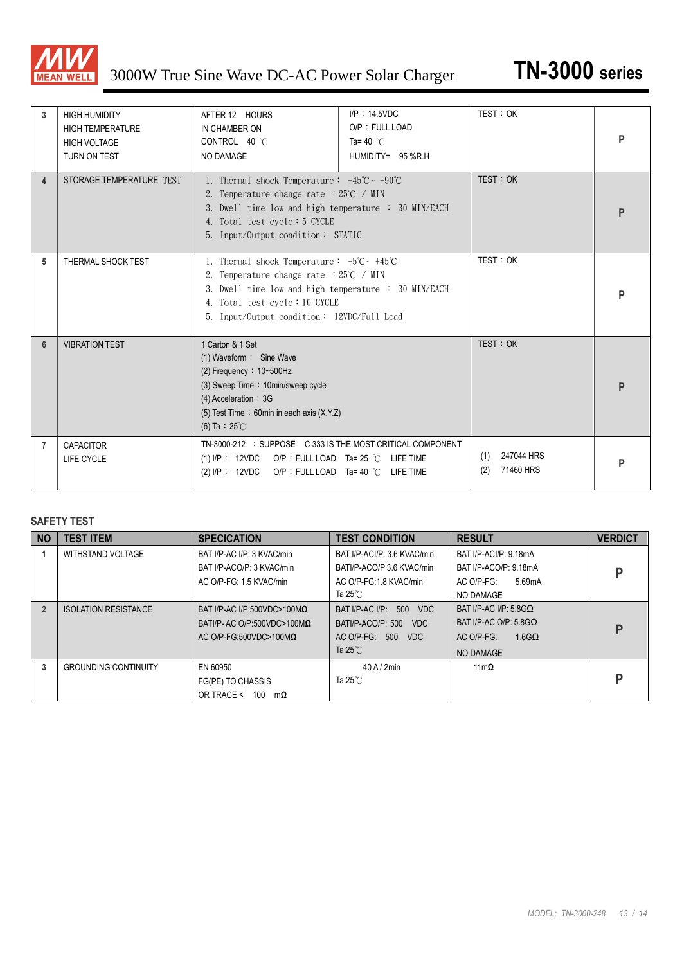

| 3              | <b>HIGH HUMIDITY</b><br><b>HIGH TEMPERATURE</b><br><b>HIGH VOLTAGE</b><br>TURN ON TEST | AFTER 12 HOURS<br>IN CHAMBER ON<br>CONTROL 40 °C<br><b>NO DAMAGE</b>                                                                                                                                                                                                     | $I/P$ : 14.5VDC<br>O/P: FULL LOAD<br>Ta=40 $\degree$ C<br>HUMIDITY= 95 %R.H | TEST: OK                              | P |
|----------------|----------------------------------------------------------------------------------------|--------------------------------------------------------------------------------------------------------------------------------------------------------------------------------------------------------------------------------------------------------------------------|-----------------------------------------------------------------------------|---------------------------------------|---|
| 4              | STORAGE TEMPERATURE TEST                                                               | 1. Thermal shock Temperature: $-45^{\circ}\text{C} \sim +90^{\circ}\text{C}$<br>2. Temperature change rate $:25^{\circ}C \neq MIN$<br>3. Dwell time low and high temperature : 30 MIN/EACH<br>4. Total test cycle $: 5$ CYCLE<br>5. Input/Output condition: STATIC       |                                                                             | TEST: OK                              | P |
| 5              | THERMAL SHOCK TEST                                                                     | 1. Thermal shock Temperature: $-5^{\circ}\text{C} \sim +45^{\circ}\text{C}$<br>2. Temperature change rate $:25^{\circ}C \neq MIN$<br>3. Dwell time low and high temperature : 30 MIN/EACH<br>4. Total test cycle: 10 CYCLE<br>5. Input/Output condition: 12VDC/Full Load |                                                                             | TEST: OK                              | P |
| $6\phantom{1}$ | <b>VIBRATION TEST</b>                                                                  | 1 Carton & 1 Set<br>(1) Waveform: Sine Wave<br>(3) Sweep Time: 10min/sweep cycle<br>$(4)$ Acceleration : 3G<br>(5) Test Time: 60min in each axis (X.Y.Z)<br>(6) Ta : $25^{\circ}$ C                                                                                      |                                                                             | TEST:OK                               | P |
| 7              | <b>CAPACITOR</b><br>LIFE CYCLE                                                         | TN-3000-212 : SUPPOSE C 333 IS THE MOST CRITICAL COMPONENT<br>(1) I/P: $12VDC$ O/P: FULL LOAD Ta= 25 °C LIFE TIME<br>(2) I/P: 12VDC O/P: FULL LOAD Ta= 40 °C LIFE TIME                                                                                                   |                                                                             | 247044 HRS<br>(1)<br>71460 HRS<br>(2) | P |

#### **SAFETY TEST**

| <b>NO</b> | <b>TEST ITEM</b>            | <b>SPECICATION</b>                  | <b>TEST CONDITION</b>       | <b>RESULT</b>                  | <b>VERDICT</b> |
|-----------|-----------------------------|-------------------------------------|-----------------------------|--------------------------------|----------------|
|           | WITHSTAND VOLTAGE           | BAT I/P-AC I/P: 3 KVAC/min          | BAT I/P-ACI/P: 3.6 KVAC/min | BAT I/P-ACI/P: 9.18mA          |                |
|           |                             | BAT I/P-ACO/P: 3 KVAC/min           | BATI/P-ACO/P 3.6 KVAC/min   | BAT I/P-ACO/P: 9.18mA          | D              |
|           |                             | AC O/P-FG: 1.5 KVAC/min             | AC O/P-FG:1.8 KVAC/min      | AC O/P-FG:<br>5.69mA           |                |
|           |                             |                                     | Ta:25 $°C$                  | NO DAMAGE                      |                |
|           | <b>ISOLATION RESISTANCE</b> | BAT I/P-AC I/P:500VDC>100M $\Omega$ | BAT I/P-AC I/P: 500 VDC     | BAT I/P-AC I/P: $5.8$ GO       |                |
|           |                             | BATI/P- AC O/P:500VDC>100M $\Omega$ | BATI/P-ACO/P: 500<br>VDC    | BAT I/P-AC O/P: $5.8$ GO       | D              |
|           |                             | AC O/P-FG:500VDC>100M $\Omega$      | 500<br>AC O/P-FG:<br>VDC    | $1.6$ G $\Omega$<br>AC O/P-FG: |                |
|           |                             |                                     | Ta: $25^{\circ}$ C          | NO DAMAGE                      |                |
| 3         | <b>GROUNDING CONTINUITY</b> | EN 60950                            | 40A/2min                    | $11m\Omega$                    |                |
|           |                             | FG(PE) TO CHASSIS                   | Ta:25 $°C$                  |                                | D              |
|           |                             | OR TRACE <<br>100<br>$m\Omega$      |                             |                                |                |